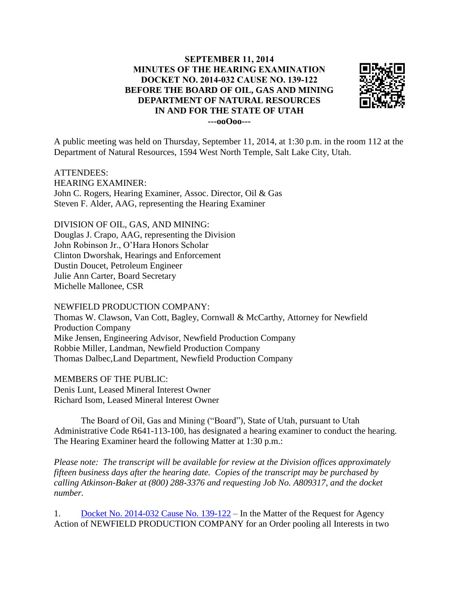## **SEPTEMBER 11, 2014 MINUTES OF THE HEARING EXAMINATION DOCKET NO. 2014-032 CAUSE NO. 139-122 BEFORE THE BOARD OF OIL, GAS AND MINING DEPARTMENT OF NATURAL RESOURCES IN AND FOR THE STATE OF UTAH ---ooOoo---**



A public meeting was held on Thursday, September 11, 2014, at 1:30 p.m. in the room 112 at the Department of Natural Resources, 1594 West North Temple, Salt Lake City, Utah.

ATTENDEES: HEARING EXAMINER: John C. Rogers, Hearing Examiner, Assoc. Director, Oil & Gas Steven F. Alder, AAG, representing the Hearing Examiner

DIVISION OF OIL, GAS, AND MINING: Douglas J. Crapo, AAG, representing the Division John Robinson Jr., O'Hara Honors Scholar Clinton Dworshak, Hearings and Enforcement Dustin Doucet, Petroleum Engineer Julie Ann Carter, Board Secretary Michelle Mallonee, CSR

NEWFIELD PRODUCTION COMPANY: Thomas W. Clawson, Van Cott, Bagley, Cornwall & McCarthy, Attorney for Newfield Production Company Mike Jensen, Engineering Advisor, Newfield Production Company Robbie Miller, Landman, Newfield Production Company Thomas Dalbec,Land Department, Newfield Production Company

MEMBERS OF THE PUBLIC: Denis Lunt, Leased Mineral Interest Owner Richard Isom, Leased Mineral Interest Owner

The Board of Oil, Gas and Mining ("Board"), State of Utah, pursuant to Utah Administrative Code R641-113-100, has designated a hearing examiner to conduct the hearing. The Hearing Examiner heard the following Matter at 1:30 p.m.:

*Please note: The transcript will be available for review at the Division offices approximately fifteen business days after the hearing date. Copies of the transcript may be purchased by calling Atkinson-Baker at (800) 288-3376 and requesting Job No. A809317, and the docket number.*

1. [Docket No. 2014-032 Cause No. 139-122](http://ogm.utah.gov/amr/boardtemp/redesign/2014/09_Sep/Dockets/2014-032_139-122_Newfield.html) – In the Matter of the Request for Agency Action of NEWFIELD PRODUCTION COMPANY for an Order pooling all Interests in two